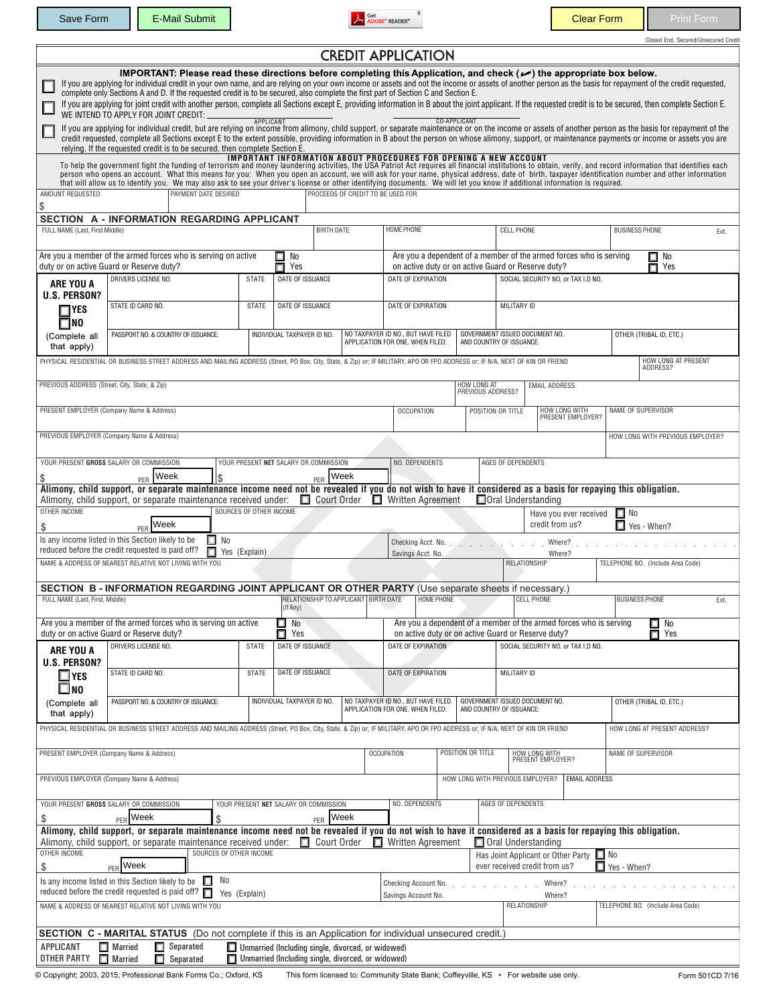Save Form E-Mail Submit E-Mail Submit Clear Form Print Form

|  | Closed End. Secured/Unsecured Credit |  |
|--|--------------------------------------|--|
|  |                                      |  |

|                                                                                                                                                                                                                  |                                                                                                                                                                                                                                                                                                                                                                                                                                                                                                                                                                                                                                                                                                                                              |                         |                                       |                    |                                      | <b>CREDIT APPLICATION</b>                                                                                    |                                   |                                                       |                                    |                                                                    |                                   |      |  |
|------------------------------------------------------------------------------------------------------------------------------------------------------------------------------------------------------------------|----------------------------------------------------------------------------------------------------------------------------------------------------------------------------------------------------------------------------------------------------------------------------------------------------------------------------------------------------------------------------------------------------------------------------------------------------------------------------------------------------------------------------------------------------------------------------------------------------------------------------------------------------------------------------------------------------------------------------------------------|-------------------------|---------------------------------------|--------------------|--------------------------------------|--------------------------------------------------------------------------------------------------------------|-----------------------------------|-------------------------------------------------------|------------------------------------|--------------------------------------------------------------------|-----------------------------------|------|--|
|                                                                                                                                                                                                                  | IMPORTANT: Please read these directions before completing this Application, and check (م) the appropriate box below.<br>If you are applying for individual credit in your own name, and are relying on your own income or assets and not the income or assets of another person as the basis for repayment of the credit requested,<br>complete only Sections A and D. If the requested credit is to be secured, also complete the first part of Section C and Section E.<br>If you are applying for joint credit with another person, complete all Sections except E, providing information in B about the joint applicant. If the requested credit is to be secured, then complete Section E.<br>WE INTEND TO APPLY FOR JOINT CREDIT: ____ | APPLICANT               |                                       |                    |                                      |                                                                                                              |                                   | CO-APPLICANT                                          |                                    |                                                                    |                                   |      |  |
|                                                                                                                                                                                                                  | If you are applying for individual credit, but are relying on income from alimony, child support, or separate maintenance or on the income or assets of another person as the basis for repayment of the<br>credit requested, complete all Sections except E to the extent possible, providing information in B about the person on whose alimony, support, or maintenance payments or income or assets you are<br>relying. If the requested credit is to be secured, then complete Section E.                                                                                                                                                                                                                                               |                         |                                       |                    |                                      |                                                                                                              |                                   |                                                       |                                    |                                                                    |                                   |      |  |
| AMOUNT REQUESTED<br>\$                                                                                                                                                                                           | To help the government fight the funding of terrorism and money laundering activities, the USA Patriot Act requires all financial institutions to obtain, verify, and record information that identifies each<br>person who opens an account. What this means for you: When you open an account, we will ask for your name, physical address, date of birth, taxpayer identification number and other information<br>that will allow us to identify you. We may also ask to see your driver's license or other identifying documents. We will let you know if additional information is required.<br>PAYMENT DATE DESIRED                                                                                                                    |                         |                                       |                    |                                      | <b>IMPORTANT INFORMATION ABOUT PROCEDURES FOR OPENING A NEW ACCOUNT</b><br>PROCEEDS OF CREDIT TO BE USED FOR |                                   |                                                       |                                    |                                                                    |                                   |      |  |
| FULL NAME (Last, First Middle)                                                                                                                                                                                   | SECTION A - INFORMATION REGARDING APPLICANT                                                                                                                                                                                                                                                                                                                                                                                                                                                                                                                                                                                                                                                                                                  |                         |                                       | <b>BIRTH DATE</b>  |                                      | <b>HOME PHONE</b>                                                                                            |                                   |                                                       | <b>CELL PHONE</b>                  |                                                                    | <b>BUSINESS PHONE</b>             | Ext. |  |
|                                                                                                                                                                                                                  | Are you a member of the armed forces who is serving on active<br>duty or on active Guard or Reserve duty?                                                                                                                                                                                                                                                                                                                                                                                                                                                                                                                                                                                                                                    |                         | $\square$ No<br>П<br>Yes              |                    |                                      |                                                                                                              |                                   | on active duty or on active Guard or Reserve duty?    |                                    | Are you a dependent of a member of the armed forces who is serving | $\square$ No<br>П<br>Yes          |      |  |
| ARE YOU A<br><b>U.S. PERSON?</b>                                                                                                                                                                                 | DRIVERS LICENSE NO.                                                                                                                                                                                                                                                                                                                                                                                                                                                                                                                                                                                                                                                                                                                          | <b>STATE</b>            |                                       | DATE OF ISSUANCE   |                                      |                                                                                                              | DATE OF EXPIRATION                |                                                       |                                    | SOCIAL SECURITY NO. or TAX I.D NO.                                 |                                   |      |  |
| $\Box$ YES<br>$\square$ NO                                                                                                                                                                                       | STATE ID CARD NO.                                                                                                                                                                                                                                                                                                                                                                                                                                                                                                                                                                                                                                                                                                                            | <b>STATE</b>            | DATE OF ISSUANCE                      |                    |                                      |                                                                                                              | DATE OF EXPIRATION                |                                                       |                                    | MILITARY ID                                                        |                                   |      |  |
| (Complete all<br>that apply)                                                                                                                                                                                     | PASSPORT NO. & COUNTRY OF ISSUANCE:                                                                                                                                                                                                                                                                                                                                                                                                                                                                                                                                                                                                                                                                                                          |                         | INDIVIDUAL TAXPAYER ID NO.            |                    |                                      | NO TAXPAYER ID NO., BUT HAVE FILED<br>APPLICATION FOR ONE. WHEN FILED:                                       |                                   | AND COUNTRY OF ISSUANCE:                              | GOVERNMENT ISSUED DOCUMENT NO.     |                                                                    | OTHER (TRIBAL ID, ETC.)           |      |  |
|                                                                                                                                                                                                                  | PHYSICAL RESIDENTIAL OR BUSINESS STREET ADDRESS AND MAILING ADDRESS (Street, PO Box, City, State, & Zip) or; IF MILITARY, APO OR FPO ADDRESS or; IF N/A, NEXT OF KIN OR FRIEND                                                                                                                                                                                                                                                                                                                                                                                                                                                                                                                                                               |                         |                                       |                    |                                      |                                                                                                              |                                   |                                                       |                                    |                                                                    | HOW LONG AT PRESENT<br>ADDRESS?   |      |  |
| PREVIOUS ADDRESS (Street, City, State, & Zip)                                                                                                                                                                    | PRESENT EMPLOYER (Company Name & Address)                                                                                                                                                                                                                                                                                                                                                                                                                                                                                                                                                                                                                                                                                                    |                         |                                       |                    |                                      | <b>OCCUPATION</b>                                                                                            |                                   | HOW LONG AT<br>PREVIOUS ADDRESS?<br>POSITION OR TITLE |                                    | <b>EMAIL ADDRESS</b><br>HOW LONG WITH                              | NAME OF SUPERVISOR                |      |  |
|                                                                                                                                                                                                                  | PREVIOUS EMPLOYER (Company Name & Address)                                                                                                                                                                                                                                                                                                                                                                                                                                                                                                                                                                                                                                                                                                   |                         |                                       |                    |                                      |                                                                                                              |                                   |                                                       |                                    | PRESENT EMPLOYER?                                                  | HOW LONG WITH PREVIOUS EMPLOYER?  |      |  |
|                                                                                                                                                                                                                  | YOUR PRESENT GROSS SALARY OR COMMISSION                                                                                                                                                                                                                                                                                                                                                                                                                                                                                                                                                                                                                                                                                                      |                         | YOUR PRESENT NET SALARY OR COMMISSION |                    |                                      | NO. DEPENDENTS                                                                                               |                                   |                                                       | AGES OF DEPENDENTS                 |                                                                    |                                   |      |  |
| \$                                                                                                                                                                                                               | Week<br>l\$<br>PFR<br>Alimony, child support, or separate maintenance income need not be revealed if you do not wish to have it considered as a basis for repaying this obligation.                                                                                                                                                                                                                                                                                                                                                                                                                                                                                                                                                          |                         |                                       | PFR                | <b>Week</b>                          |                                                                                                              |                                   |                                                       |                                    |                                                                    |                                   |      |  |
| OTHER INCOME                                                                                                                                                                                                     | Alimony, child support, or separate maintenance received under:                                                                                                                                                                                                                                                                                                                                                                                                                                                                                                                                                                                                                                                                              | SOURCES OF OTHER INCOME |                                       | $\Box$ Court Order |                                      | $\Box$ Written Agreement                                                                                     |                                   |                                                       | Oral Understanding                 | Have you ever received                                             | $\Box$ No                         |      |  |
| \$                                                                                                                                                                                                               | Week<br>PER<br>Is any income listed in this Section likely to be<br>$\Box$ No                                                                                                                                                                                                                                                                                                                                                                                                                                                                                                                                                                                                                                                                |                         |                                       |                    |                                      |                                                                                                              |                                   | Checking Acct. No.                                    | <b>Contract</b>                    | credit from us?<br>Where?                                          | $\Box$ Yes - When?                |      |  |
|                                                                                                                                                                                                                  | reduced before the credit requested is paid off?<br>п<br>NAME & ADDRESS OF NEAREST RELATIVE NOT LIVING WITH YOU                                                                                                                                                                                                                                                                                                                                                                                                                                                                                                                                                                                                                              | Yes (Explain)           |                                       |                    |                                      | Savings Acct. No.                                                                                            |                                   |                                                       | <b>RELATIONSHIP</b>                | Where?                                                             | TELEPHONE NO. (Include Area Code) |      |  |
| FULL NAME (Last, First, Middle)                                                                                                                                                                                  | SECTION B - INFORMATION REGARDING JOINT APPLICANT OR OTHER PARTY (Use separate sheets if necessary.)                                                                                                                                                                                                                                                                                                                                                                                                                                                                                                                                                                                                                                         |                         | (If Any)                              |                    | RELATIONSHIP TO APPLICANT BIRTH DATE |                                                                                                              | <b>HOME PHONE</b>                 |                                                       | <b>CELL PHONE</b>                  |                                                                    | <b>BUSINESS PHONE</b>             | Ext. |  |
|                                                                                                                                                                                                                  | Are you a member of the armed forces who is serving on active<br>duty or on active Guard or Reserve duty?                                                                                                                                                                                                                                                                                                                                                                                                                                                                                                                                                                                                                                    |                         | $\square$ No<br>$\Box$ Yes            |                    |                                      |                                                                                                              |                                   | on active duty or on active Guard or Reserve duty?    |                                    | Are you a dependent of a member of the armed forces who is serving | $\Box$ No<br>$\Box$ Yes           |      |  |
| ARE YOU A<br><b>U.S. PERSON?</b>                                                                                                                                                                                 | <b>DRIVERS LICENSE NO.</b>                                                                                                                                                                                                                                                                                                                                                                                                                                                                                                                                                                                                                                                                                                                   | <b>STATE</b>            |                                       | DATE OF ISSUANCE   |                                      |                                                                                                              | DATE OF EXPIRATION                |                                                       |                                    | SOCIAL SECURITY NO. or TAX I.D NO.<br>MILITARY ID                  |                                   |      |  |
| $\square$ YES<br>□мо                                                                                                                                                                                             | STATE ID CARD NO.                                                                                                                                                                                                                                                                                                                                                                                                                                                                                                                                                                                                                                                                                                                            | STATE                   |                                       | DATE OF ISSUANCE   |                                      |                                                                                                              | DATE OF EXPIRATION                |                                                       |                                    |                                                                    |                                   |      |  |
| (Complete all<br>that apply)                                                                                                                                                                                     | PASSPORT NO. & COUNTRY OF ISSUANCE:                                                                                                                                                                                                                                                                                                                                                                                                                                                                                                                                                                                                                                                                                                          |                         | INDIVIDUAL TAXPAYER ID NO.            |                    |                                      | NO TAXPAYER ID NO., BUT HAVE FILED<br>APPLICATION FOR ONE. WHEN FILED:                                       |                                   | AND COUNTRY OF ISSUANCE:                              | GOVERNMENT ISSUED DOCUMENT NO.     |                                                                    | OTHER (TRIBAL ID, ETC.)           |      |  |
|                                                                                                                                                                                                                  | PHYSICAL RESIDENTIAL OR BUSINESS STREET ADDRESS AND MAILING ADDRESS (Street, PO Box, City, State, & Zip) or; IF MILITARY, APO OR FPO ADDRESS or; IF N/A, NEXT OF KIN OR FRIEND                                                                                                                                                                                                                                                                                                                                                                                                                                                                                                                                                               |                         |                                       |                    |                                      |                                                                                                              |                                   |                                                       |                                    |                                                                    | HOW LONG AT PRESENT ADDRESS?      |      |  |
| PRESENT EMPLOYER (Company Name & Address)                                                                                                                                                                        |                                                                                                                                                                                                                                                                                                                                                                                                                                                                                                                                                                                                                                                                                                                                              |                         |                                       |                    | <b>OCCUPATION</b>                    | POSITION OR TITLE<br>HOW LONG WITH PREVIOUS EMPLOYER?                                                        |                                   |                                                       | HOW LONG WITH<br>PRESENT EMPLOYER? | NAME OF SUPERVISOR                                                 |                                   |      |  |
|                                                                                                                                                                                                                  | PREVIOUS EMPLOYER (Company Name & Address)<br>YOUR PRESENT GROSS SALARY OR COMMISSION                                                                                                                                                                                                                                                                                                                                                                                                                                                                                                                                                                                                                                                        |                         | YOUR PRESENT NET SALARY OR COMMISSION |                    |                                      | NO. DEPENDENTS                                                                                               |                                   |                                                       | AGES OF DEPENDENTS                 | <b>EMAIL ADDRESS</b>                                               |                                   |      |  |
| \$                                                                                                                                                                                                               | PER Week<br>\$<br>Alimony, child support, or separate maintenance income need not be revealed if you do not wish to have it considered as a basis for repaying this obligation.                                                                                                                                                                                                                                                                                                                                                                                                                                                                                                                                                              |                         |                                       | PER Week           |                                      |                                                                                                              |                                   |                                                       |                                    |                                                                    |                                   |      |  |
| OTHER INCOME                                                                                                                                                                                                     | Alimony, child support, or separate maintenance received under:<br>SOURCES OF OTHER INCOME                                                                                                                                                                                                                                                                                                                                                                                                                                                                                                                                                                                                                                                   |                         |                                       | $\Box$ Court Order |                                      | □ Written Agreement                                                                                          |                                   |                                                       | Oral Understanding                 | Has Joint Applicant or Other Party                                 | $\square$ No                      |      |  |
| Week<br>ever received credit from us?<br>\$<br>$\Box$ Yes - When?<br>PFR<br>No<br>Is any income listed in this Section likely to be<br>П<br>Checking Account No.<br>Where?<br>$\mathcal{L}^{\text{max}}$         |                                                                                                                                                                                                                                                                                                                                                                                                                                                                                                                                                                                                                                                                                                                                              |                         |                                       |                    |                                      |                                                                                                              |                                   |                                                       |                                    |                                                                    |                                   |      |  |
| reduced before the credit requested is paid off? $\Box$<br>Yes (Explain)<br>Savings Account No.<br>Where?<br>NAME & ADDRESS OF NEAREST RELATIVE NOT LIVING WITH YOU<br>RELATIONSHIP                              |                                                                                                                                                                                                                                                                                                                                                                                                                                                                                                                                                                                                                                                                                                                                              |                         |                                       |                    |                                      |                                                                                                              | TELEPHONE NO. (Include Area Code) |                                                       |                                    |                                                                    |                                   |      |  |
|                                                                                                                                                                                                                  | <b>SECTION C - MARITAL STATUS</b> (Do not complete if this is an Application for individual unsecured credit.)                                                                                                                                                                                                                                                                                                                                                                                                                                                                                                                                                                                                                               |                         |                                       |                    |                                      |                                                                                                              |                                   |                                                       |                                    |                                                                    |                                   |      |  |
| $\Box$ Separated<br>$\Box$ Married<br>APPLICANT<br>Unmarried (Including single, divorced, or widowed)<br>OTHER PARTY<br>$\Box$ Married<br>Unmarried (Including single, divorced, or widowed)<br>$\Box$ Separated |                                                                                                                                                                                                                                                                                                                                                                                                                                                                                                                                                                                                                                                                                                                                              |                         |                                       |                    |                                      |                                                                                                              |                                   |                                                       |                                    |                                                                    |                                   |      |  |
|                                                                                                                                                                                                                  | © Copyright; 2003, 2015; Professional Bank Forms Co.; Oxford, KS                                                                                                                                                                                                                                                                                                                                                                                                                                                                                                                                                                                                                                                                             |                         |                                       |                    |                                      | This form licensed to: Community State Bank; Coffeyville, KS · For website use only.                         |                                   |                                                       |                                    |                                                                    | Form 501CD 7/16                   |      |  |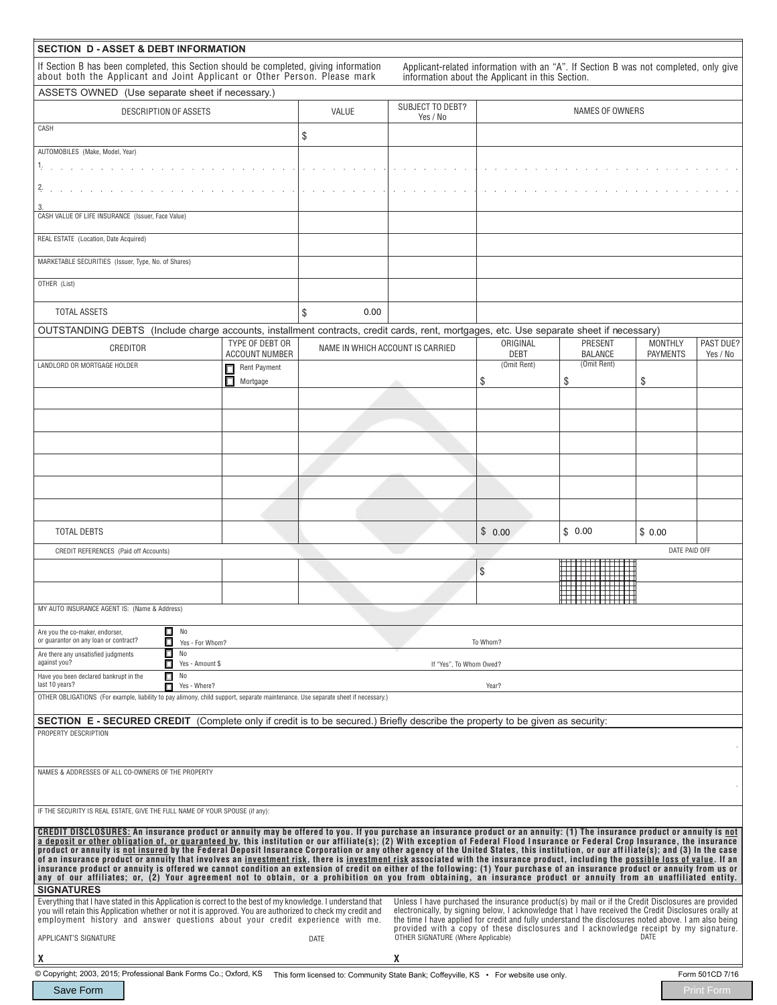| <b>SECTION D - ASSET &amp; DEBT INFORMATION</b>                                                                                                                                                                                                                                                                                                                                                                                                                                                                                                                                                                                                                                                                                                                                                                                                                                                                    |                                          |                                                                                      |                                                                                                                                                                                                                                                                                                       |                                                                                                                                          |                                  |                                   |                       |  |  |
|--------------------------------------------------------------------------------------------------------------------------------------------------------------------------------------------------------------------------------------------------------------------------------------------------------------------------------------------------------------------------------------------------------------------------------------------------------------------------------------------------------------------------------------------------------------------------------------------------------------------------------------------------------------------------------------------------------------------------------------------------------------------------------------------------------------------------------------------------------------------------------------------------------------------|------------------------------------------|--------------------------------------------------------------------------------------|-------------------------------------------------------------------------------------------------------------------------------------------------------------------------------------------------------------------------------------------------------------------------------------------------------|------------------------------------------------------------------------------------------------------------------------------------------|----------------------------------|-----------------------------------|-----------------------|--|--|
| If Section B has been completed, this Section should be completed, giving information<br>about both the Applicant and Joint Applicant or Other Person. Please mark                                                                                                                                                                                                                                                                                                                                                                                                                                                                                                                                                                                                                                                                                                                                                 |                                          |                                                                                      |                                                                                                                                                                                                                                                                                                       | Applicant-related information with an "A". If Section B was not completed, only give<br>information about the Applicant in this Section. |                                  |                                   |                       |  |  |
| ASSETS OWNED (Use separate sheet if necessary.)                                                                                                                                                                                                                                                                                                                                                                                                                                                                                                                                                                                                                                                                                                                                                                                                                                                                    |                                          |                                                                                      |                                                                                                                                                                                                                                                                                                       |                                                                                                                                          |                                  |                                   |                       |  |  |
| DESCRIPTION OF ASSETS                                                                                                                                                                                                                                                                                                                                                                                                                                                                                                                                                                                                                                                                                                                                                                                                                                                                                              |                                          | VALUE                                                                                | <b>SUBJECT TO DEBT?</b><br>Yes / No                                                                                                                                                                                                                                                                   |                                                                                                                                          | NAMES OF OWNERS                  |                                   |                       |  |  |
| CASH                                                                                                                                                                                                                                                                                                                                                                                                                                                                                                                                                                                                                                                                                                                                                                                                                                                                                                               |                                          | \$                                                                                   |                                                                                                                                                                                                                                                                                                       |                                                                                                                                          |                                  |                                   |                       |  |  |
| AUTOMOBILES (Make, Model, Year)                                                                                                                                                                                                                                                                                                                                                                                                                                                                                                                                                                                                                                                                                                                                                                                                                                                                                    |                                          |                                                                                      |                                                                                                                                                                                                                                                                                                       |                                                                                                                                          |                                  |                                   |                       |  |  |
| ka sa sanggunian                                                                                                                                                                                                                                                                                                                                                                                                                                                                                                                                                                                                                                                                                                                                                                                                                                                                                                   |                                          |                                                                                      |                                                                                                                                                                                                                                                                                                       |                                                                                                                                          |                                  |                                   |                       |  |  |
| Z.                                                                                                                                                                                                                                                                                                                                                                                                                                                                                                                                                                                                                                                                                                                                                                                                                                                                                                                 |                                          |                                                                                      |                                                                                                                                                                                                                                                                                                       |                                                                                                                                          |                                  |                                   |                       |  |  |
| CASH VALUE OF LIFE INSURANCE (Issuer, Face Value)                                                                                                                                                                                                                                                                                                                                                                                                                                                                                                                                                                                                                                                                                                                                                                                                                                                                  |                                          |                                                                                      |                                                                                                                                                                                                                                                                                                       |                                                                                                                                          |                                  |                                   |                       |  |  |
| REAL ESTATE (Location, Date Acquired)                                                                                                                                                                                                                                                                                                                                                                                                                                                                                                                                                                                                                                                                                                                                                                                                                                                                              |                                          |                                                                                      |                                                                                                                                                                                                                                                                                                       |                                                                                                                                          |                                  |                                   |                       |  |  |
| MARKETABLE SECURITIES (Issuer, Type, No. of Shares)                                                                                                                                                                                                                                                                                                                                                                                                                                                                                                                                                                                                                                                                                                                                                                                                                                                                |                                          |                                                                                      |                                                                                                                                                                                                                                                                                                       |                                                                                                                                          |                                  |                                   |                       |  |  |
| OTHER (List)                                                                                                                                                                                                                                                                                                                                                                                                                                                                                                                                                                                                                                                                                                                                                                                                                                                                                                       |                                          |                                                                                      |                                                                                                                                                                                                                                                                                                       |                                                                                                                                          |                                  |                                   |                       |  |  |
| <b>TOTAL ASSETS</b>                                                                                                                                                                                                                                                                                                                                                                                                                                                                                                                                                                                                                                                                                                                                                                                                                                                                                                |                                          | \$<br>0.00                                                                           |                                                                                                                                                                                                                                                                                                       |                                                                                                                                          |                                  |                                   |                       |  |  |
| OUTSTANDING DEBTS (Include charge accounts, installment contracts, credit cards, rent, mortgages, etc. Use separate sheet if necessary)                                                                                                                                                                                                                                                                                                                                                                                                                                                                                                                                                                                                                                                                                                                                                                            |                                          |                                                                                      |                                                                                                                                                                                                                                                                                                       |                                                                                                                                          |                                  |                                   |                       |  |  |
| CREDITOR                                                                                                                                                                                                                                                                                                                                                                                                                                                                                                                                                                                                                                                                                                                                                                                                                                                                                                           | TYPE OF DEBT OR<br><b>ACCOUNT NUMBER</b> |                                                                                      | NAME IN WHICH ACCOUNT IS CARRIED                                                                                                                                                                                                                                                                      | ORIGINAL<br><b>DEBT</b>                                                                                                                  | <b>PRESENT</b><br><b>BALANCE</b> | <b>MONTHLY</b><br><b>PAYMENTS</b> | PAST DUE?<br>Yes / No |  |  |
| LANDLORD OR MORTGAGE HOLDER                                                                                                                                                                                                                                                                                                                                                                                                                                                                                                                                                                                                                                                                                                                                                                                                                                                                                        | Rent Payment<br>Δ                        |                                                                                      |                                                                                                                                                                                                                                                                                                       | (Omit Rent)                                                                                                                              | (Omit Rent)                      |                                   |                       |  |  |
|                                                                                                                                                                                                                                                                                                                                                                                                                                                                                                                                                                                                                                                                                                                                                                                                                                                                                                                    | П<br>Mortgage                            |                                                                                      |                                                                                                                                                                                                                                                                                                       | \$                                                                                                                                       | \$                               | \$                                |                       |  |  |
|                                                                                                                                                                                                                                                                                                                                                                                                                                                                                                                                                                                                                                                                                                                                                                                                                                                                                                                    |                                          |                                                                                      |                                                                                                                                                                                                                                                                                                       |                                                                                                                                          |                                  |                                   |                       |  |  |
|                                                                                                                                                                                                                                                                                                                                                                                                                                                                                                                                                                                                                                                                                                                                                                                                                                                                                                                    |                                          |                                                                                      |                                                                                                                                                                                                                                                                                                       |                                                                                                                                          |                                  |                                   |                       |  |  |
|                                                                                                                                                                                                                                                                                                                                                                                                                                                                                                                                                                                                                                                                                                                                                                                                                                                                                                                    |                                          |                                                                                      |                                                                                                                                                                                                                                                                                                       |                                                                                                                                          |                                  |                                   |                       |  |  |
|                                                                                                                                                                                                                                                                                                                                                                                                                                                                                                                                                                                                                                                                                                                                                                                                                                                                                                                    |                                          |                                                                                      |                                                                                                                                                                                                                                                                                                       |                                                                                                                                          |                                  |                                   |                       |  |  |
|                                                                                                                                                                                                                                                                                                                                                                                                                                                                                                                                                                                                                                                                                                                                                                                                                                                                                                                    |                                          |                                                                                      |                                                                                                                                                                                                                                                                                                       |                                                                                                                                          |                                  |                                   |                       |  |  |
|                                                                                                                                                                                                                                                                                                                                                                                                                                                                                                                                                                                                                                                                                                                                                                                                                                                                                                                    |                                          |                                                                                      |                                                                                                                                                                                                                                                                                                       |                                                                                                                                          |                                  |                                   |                       |  |  |
|                                                                                                                                                                                                                                                                                                                                                                                                                                                                                                                                                                                                                                                                                                                                                                                                                                                                                                                    |                                          |                                                                                      |                                                                                                                                                                                                                                                                                                       |                                                                                                                                          |                                  |                                   |                       |  |  |
|                                                                                                                                                                                                                                                                                                                                                                                                                                                                                                                                                                                                                                                                                                                                                                                                                                                                                                                    |                                          |                                                                                      |                                                                                                                                                                                                                                                                                                       |                                                                                                                                          |                                  |                                   |                       |  |  |
| <b>TOTAL DEBTS</b>                                                                                                                                                                                                                                                                                                                                                                                                                                                                                                                                                                                                                                                                                                                                                                                                                                                                                                 |                                          |                                                                                      |                                                                                                                                                                                                                                                                                                       | \$0.00                                                                                                                                   | \$0.00                           | \$0.00                            |                       |  |  |
| <b>CREDIT REFERENCES</b> (Paid off Accounts)                                                                                                                                                                                                                                                                                                                                                                                                                                                                                                                                                                                                                                                                                                                                                                                                                                                                       |                                          |                                                                                      |                                                                                                                                                                                                                                                                                                       | DATE PAID OFF                                                                                                                            |                                  |                                   |                       |  |  |
|                                                                                                                                                                                                                                                                                                                                                                                                                                                                                                                                                                                                                                                                                                                                                                                                                                                                                                                    |                                          |                                                                                      |                                                                                                                                                                                                                                                                                                       | \$                                                                                                                                       |                                  |                                   |                       |  |  |
|                                                                                                                                                                                                                                                                                                                                                                                                                                                                                                                                                                                                                                                                                                                                                                                                                                                                                                                    |                                          |                                                                                      |                                                                                                                                                                                                                                                                                                       |                                                                                                                                          |                                  |                                   |                       |  |  |
| MY AUTO INSURANCE AGENT IS: (Name & Address)                                                                                                                                                                                                                                                                                                                                                                                                                                                                                                                                                                                                                                                                                                                                                                                                                                                                       |                                          |                                                                                      |                                                                                                                                                                                                                                                                                                       |                                                                                                                                          | <del>1111111111</del>            |                                   |                       |  |  |
| П<br>No<br>Are you the co-maker, endorser,                                                                                                                                                                                                                                                                                                                                                                                                                                                                                                                                                                                                                                                                                                                                                                                                                                                                         |                                          |                                                                                      |                                                                                                                                                                                                                                                                                                       |                                                                                                                                          |                                  |                                   |                       |  |  |
| or guarantor on any loan or contract?<br>□<br>Yes - For Whom?                                                                                                                                                                                                                                                                                                                                                                                                                                                                                                                                                                                                                                                                                                                                                                                                                                                      |                                          |                                                                                      |                                                                                                                                                                                                                                                                                                       | To Whom?                                                                                                                                 |                                  |                                   |                       |  |  |
| П<br>No<br>Are there any unsatisfied judgments<br>against you?<br>$\Box$<br>Yes - Amount \$                                                                                                                                                                                                                                                                                                                                                                                                                                                                                                                                                                                                                                                                                                                                                                                                                        |                                          |                                                                                      | If "Yes". To Whom Owed?                                                                                                                                                                                                                                                                               |                                                                                                                                          |                                  |                                   |                       |  |  |
| Π<br>No<br>Have you been declared bankrupt in the<br>last 10 years?<br>П<br>Yes - Where?                                                                                                                                                                                                                                                                                                                                                                                                                                                                                                                                                                                                                                                                                                                                                                                                                           |                                          |                                                                                      |                                                                                                                                                                                                                                                                                                       | Year?                                                                                                                                    |                                  |                                   |                       |  |  |
| OTHER OBLIGATIONS (For example, liability to pay alimony, child support, separate maintenance. Use separate sheet if necessary.)                                                                                                                                                                                                                                                                                                                                                                                                                                                                                                                                                                                                                                                                                                                                                                                   |                                          |                                                                                      |                                                                                                                                                                                                                                                                                                       |                                                                                                                                          |                                  |                                   |                       |  |  |
| <b>SECTION E - SECURED CREDIT</b> (Complete only if credit is to be secured.) Briefly describe the property to be given as security:                                                                                                                                                                                                                                                                                                                                                                                                                                                                                                                                                                                                                                                                                                                                                                               |                                          |                                                                                      |                                                                                                                                                                                                                                                                                                       |                                                                                                                                          |                                  |                                   |                       |  |  |
| PROPERTY DESCRIPTION                                                                                                                                                                                                                                                                                                                                                                                                                                                                                                                                                                                                                                                                                                                                                                                                                                                                                               |                                          |                                                                                      |                                                                                                                                                                                                                                                                                                       |                                                                                                                                          |                                  |                                   |                       |  |  |
|                                                                                                                                                                                                                                                                                                                                                                                                                                                                                                                                                                                                                                                                                                                                                                                                                                                                                                                    |                                          |                                                                                      |                                                                                                                                                                                                                                                                                                       |                                                                                                                                          |                                  |                                   |                       |  |  |
| NAMES & ADDRESSES OF ALL CO-OWNERS OF THE PROPERTY                                                                                                                                                                                                                                                                                                                                                                                                                                                                                                                                                                                                                                                                                                                                                                                                                                                                 |                                          |                                                                                      |                                                                                                                                                                                                                                                                                                       |                                                                                                                                          |                                  |                                   |                       |  |  |
|                                                                                                                                                                                                                                                                                                                                                                                                                                                                                                                                                                                                                                                                                                                                                                                                                                                                                                                    |                                          |                                                                                      |                                                                                                                                                                                                                                                                                                       |                                                                                                                                          |                                  |                                   |                       |  |  |
| IF THE SECURITY IS REAL ESTATE, GIVE THE FULL NAME OF YOUR SPOUSE (if any):                                                                                                                                                                                                                                                                                                                                                                                                                                                                                                                                                                                                                                                                                                                                                                                                                                        |                                          |                                                                                      |                                                                                                                                                                                                                                                                                                       |                                                                                                                                          |                                  |                                   |                       |  |  |
| CREDIT DISCLOSURES: An insurance product or annuity may be offered to you. If you purchase an insurance product or an annuity: (1) The insurance product or annuity is not                                                                                                                                                                                                                                                                                                                                                                                                                                                                                                                                                                                                                                                                                                                                         |                                          |                                                                                      |                                                                                                                                                                                                                                                                                                       |                                                                                                                                          |                                  |                                   |                       |  |  |
| a deposit or other obligation of, or guaranteed by, this institution or our affiliate(s); (2) With exception of Federal Flood Insurance or Federal Crop Insurance, the insurance<br>product or annuity is not insured by the Federal Deposit Insurance Corporation or any other agency of the United States, this institution, or our affiliate(s); and (3) In the case<br>of an insurance product or annuity that involves an investment risk, there is investment risk associated with the insurance product, including the possible loss of value. If an<br>insurance product or annuity is offered we cannot condition an extension of credit on either of the following: (1) Your purchase of an insurance product or annuity from us or<br>any of our affiliates; or, (2) Your agreement not to obtain, or a prohibition on you from obtaining, an insurance product or annuity from an unaffiliated entity. |                                          |                                                                                      |                                                                                                                                                                                                                                                                                                       |                                                                                                                                          |                                  |                                   |                       |  |  |
| <b>SIGNATURES</b><br>Everything that I have stated in this Application is correct to the best of my knowledge. I understand that                                                                                                                                                                                                                                                                                                                                                                                                                                                                                                                                                                                                                                                                                                                                                                                   |                                          |                                                                                      |                                                                                                                                                                                                                                                                                                       | Unless I have purchased the insurance product(s) by mail or if the Credit Disclosures are provided                                       |                                  |                                   |                       |  |  |
| you will retain this Application whether or not it is approved. You are authorized to check my credit and<br>employment history and answer questions about your credit experience with me.                                                                                                                                                                                                                                                                                                                                                                                                                                                                                                                                                                                                                                                                                                                         |                                          |                                                                                      | electronically, by signing below, I acknowledge that I have received the Credit Disclosures orally at<br>the time I have applied for credit and fully understand the disclosures noted above. I am also being<br>provided with a copy of these disclosures and I acknowledge receipt by my signature. |                                                                                                                                          |                                  |                                   |                       |  |  |
| APPLICANT'S SIGNATURE                                                                                                                                                                                                                                                                                                                                                                                                                                                                                                                                                                                                                                                                                                                                                                                                                                                                                              |                                          | DATE                                                                                 | OTHER SIGNATURE (Where Applicable)                                                                                                                                                                                                                                                                    |                                                                                                                                          |                                  | DATE                              |                       |  |  |
| X                                                                                                                                                                                                                                                                                                                                                                                                                                                                                                                                                                                                                                                                                                                                                                                                                                                                                                                  |                                          |                                                                                      | X                                                                                                                                                                                                                                                                                                     |                                                                                                                                          |                                  |                                   |                       |  |  |
| © Copyright; 2003, 2015; Professional Bank Forms Co.; Oxford, KS                                                                                                                                                                                                                                                                                                                                                                                                                                                                                                                                                                                                                                                                                                                                                                                                                                                   |                                          | This form licensed to: Community State Bank; Coffeyville, KS • For website use only. |                                                                                                                                                                                                                                                                                                       |                                                                                                                                          |                                  |                                   | Form 501CD 7/16       |  |  |
| Save Form                                                                                                                                                                                                                                                                                                                                                                                                                                                                                                                                                                                                                                                                                                                                                                                                                                                                                                          |                                          |                                                                                      |                                                                                                                                                                                                                                                                                                       |                                                                                                                                          |                                  |                                   | Print Form            |  |  |